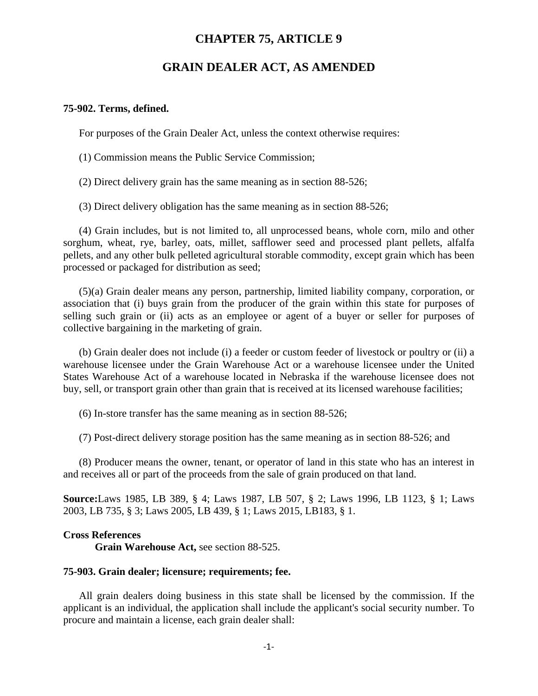# **CHAPTER 75, ARTICLE 9**

# **GRAIN DEALER ACT, AS AMENDED**

#### **75-902. Terms, defined.**

For purposes of the Grain Dealer Act, unless the context otherwise requires:

(1) Commission means the Public Service Commission;

(2) Direct delivery grain has the same meaning as in section 88-526;

(3) Direct delivery obligation has the same meaning as in section 88-526;

(4) Grain includes, but is not limited to, all unprocessed beans, whole corn, milo and other sorghum, wheat, rye, barley, oats, millet, safflower seed and processed plant pellets, alfalfa pellets, and any other bulk pelleted agricultural storable commodity, except grain which has been processed or packaged for distribution as seed;

(5)(a) Grain dealer means any person, partnership, limited liability company, corporation, or association that (i) buys grain from the producer of the grain within this state for purposes of selling such grain or (ii) acts as an employee or agent of a buyer or seller for purposes of collective bargaining in the marketing of grain.

(b) Grain dealer does not include (i) a feeder or custom feeder of livestock or poultry or (ii) a warehouse licensee under the Grain Warehouse Act or a warehouse licensee under the United States Warehouse Act of a warehouse located in Nebraska if the warehouse licensee does not buy, sell, or transport grain other than grain that is received at its licensed warehouse facilities;

(6) In-store transfer has the same meaning as in section 88-526;

(7) Post-direct delivery storage position has the same meaning as in section 88-526; and

(8) Producer means the owner, tenant, or operator of land in this state who has an interest in and receives all or part of the proceeds from the sale of grain produced on that land.

**Source:**Laws 1985, LB 389, § 4; Laws 1987, LB 507, § 2; Laws 1996, LB 1123, § 1; Laws 2003, LB 735, § 3; Laws 2005, LB 439, § 1; Laws 2015, LB183, § 1.

## **Cross References**

**Grain Warehouse Act,** see section 88-525.

## **75-903. Grain dealer; licensure; requirements; fee.**

All grain dealers doing business in this state shall be licensed by the commission. If the applicant is an individual, the application shall include the applicant's social security number. To procure and maintain a license, each grain dealer shall: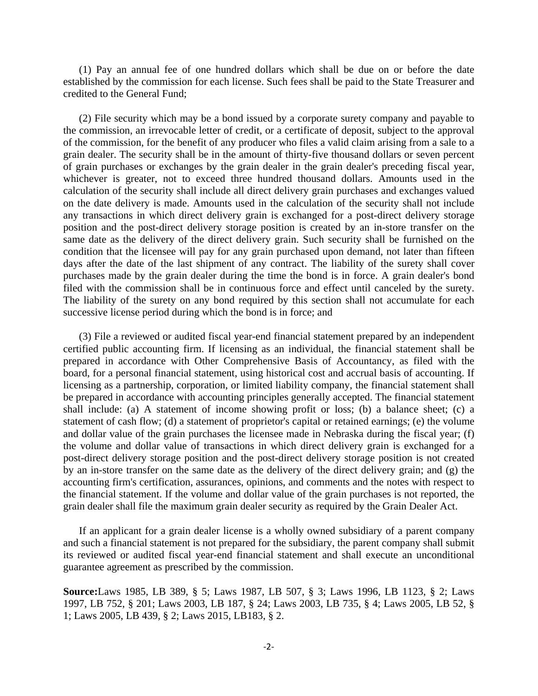(1) Pay an annual fee of one hundred dollars which shall be due on or before the date established by the commission for each license. Such fees shall be paid to the State Treasurer and credited to the General Fund;

(2) File security which may be a bond issued by a corporate surety company and payable to the commission, an irrevocable letter of credit, or a certificate of deposit, subject to the approval of the commission, for the benefit of any producer who files a valid claim arising from a sale to a grain dealer. The security shall be in the amount of thirty-five thousand dollars or seven percent of grain purchases or exchanges by the grain dealer in the grain dealer's preceding fiscal year, whichever is greater, not to exceed three hundred thousand dollars. Amounts used in the calculation of the security shall include all direct delivery grain purchases and exchanges valued on the date delivery is made. Amounts used in the calculation of the security shall not include any transactions in which direct delivery grain is exchanged for a post-direct delivery storage position and the post-direct delivery storage position is created by an in-store transfer on the same date as the delivery of the direct delivery grain. Such security shall be furnished on the condition that the licensee will pay for any grain purchased upon demand, not later than fifteen days after the date of the last shipment of any contract. The liability of the surety shall cover purchases made by the grain dealer during the time the bond is in force. A grain dealer's bond filed with the commission shall be in continuous force and effect until canceled by the surety. The liability of the surety on any bond required by this section shall not accumulate for each successive license period during which the bond is in force; and

(3) File a reviewed or audited fiscal year-end financial statement prepared by an independent certified public accounting firm. If licensing as an individual, the financial statement shall be prepared in accordance with Other Comprehensive Basis of Accountancy, as filed with the board, for a personal financial statement, using historical cost and accrual basis of accounting. If licensing as a partnership, corporation, or limited liability company, the financial statement shall be prepared in accordance with accounting principles generally accepted. The financial statement shall include: (a) A statement of income showing profit or loss; (b) a balance sheet; (c) a statement of cash flow; (d) a statement of proprietor's capital or retained earnings; (e) the volume and dollar value of the grain purchases the licensee made in Nebraska during the fiscal year; (f) the volume and dollar value of transactions in which direct delivery grain is exchanged for a post-direct delivery storage position and the post-direct delivery storage position is not created by an in-store transfer on the same date as the delivery of the direct delivery grain; and (g) the accounting firm's certification, assurances, opinions, and comments and the notes with respect to the financial statement. If the volume and dollar value of the grain purchases is not reported, the grain dealer shall file the maximum grain dealer security as required by the Grain Dealer Act.

If an applicant for a grain dealer license is a wholly owned subsidiary of a parent company and such a financial statement is not prepared for the subsidiary, the parent company shall submit its reviewed or audited fiscal year-end financial statement and shall execute an unconditional guarantee agreement as prescribed by the commission.

**Source:**Laws 1985, LB 389, § 5; Laws 1987, LB 507, § 3; Laws 1996, LB 1123, § 2; Laws 1997, LB 752, § 201; Laws 2003, LB 187, § 24; Laws 2003, LB 735, § 4; Laws 2005, LB 52, § 1; Laws 2005, LB 439, § 2; Laws 2015, LB183, § 2.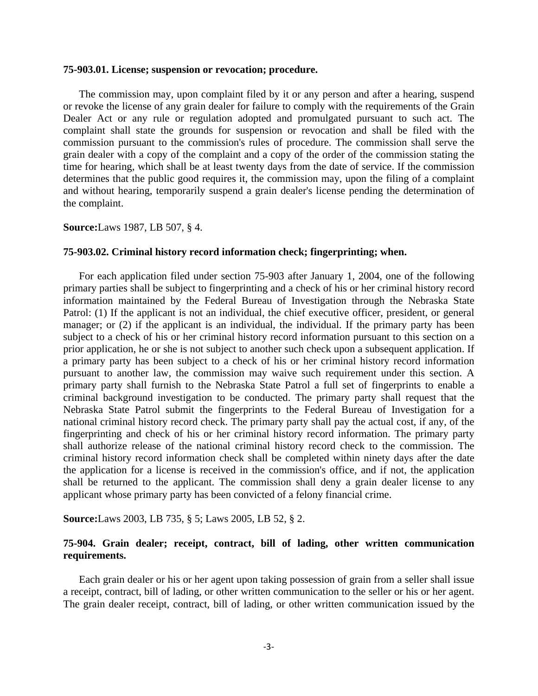#### **75-903.01. License; suspension or revocation; procedure.**

The commission may, upon complaint filed by it or any person and after a hearing, suspend or revoke the license of any grain dealer for failure to comply with the requirements of the Grain Dealer Act or any rule or regulation adopted and promulgated pursuant to such act. The complaint shall state the grounds for suspension or revocation and shall be filed with the commission pursuant to the commission's rules of procedure. The commission shall serve the grain dealer with a copy of the complaint and a copy of the order of the commission stating the time for hearing, which shall be at least twenty days from the date of service. If the commission determines that the public good requires it, the commission may, upon the filing of a complaint and without hearing, temporarily suspend a grain dealer's license pending the determination of the complaint.

### **Source:**Laws 1987, LB 507, § 4.

# **75-903.02. Criminal history record information check; fingerprinting; when.**

For each application filed under section 75-903 after January 1, 2004, one of the following primary parties shall be subject to fingerprinting and a check of his or her criminal history record information maintained by the Federal Bureau of Investigation through the Nebraska State Patrol: (1) If the applicant is not an individual, the chief executive officer, president, or general manager; or (2) if the applicant is an individual, the individual. If the primary party has been subject to a check of his or her criminal history record information pursuant to this section on a prior application, he or she is not subject to another such check upon a subsequent application. If a primary party has been subject to a check of his or her criminal history record information pursuant to another law, the commission may waive such requirement under this section. A primary party shall furnish to the Nebraska State Patrol a full set of fingerprints to enable a criminal background investigation to be conducted. The primary party shall request that the Nebraska State Patrol submit the fingerprints to the Federal Bureau of Investigation for a national criminal history record check. The primary party shall pay the actual cost, if any, of the fingerprinting and check of his or her criminal history record information. The primary party shall authorize release of the national criminal history record check to the commission. The criminal history record information check shall be completed within ninety days after the date the application for a license is received in the commission's office, and if not, the application shall be returned to the applicant. The commission shall deny a grain dealer license to any applicant whose primary party has been convicted of a felony financial crime.

**Source:**Laws 2003, LB 735, § 5; Laws 2005, LB 52, § 2.

## **75-904. Grain dealer; receipt, contract, bill of lading, other written communication requirements.**

Each grain dealer or his or her agent upon taking possession of grain from a seller shall issue a receipt, contract, bill of lading, or other written communication to the seller or his or her agent. The grain dealer receipt, contract, bill of lading, or other written communication issued by the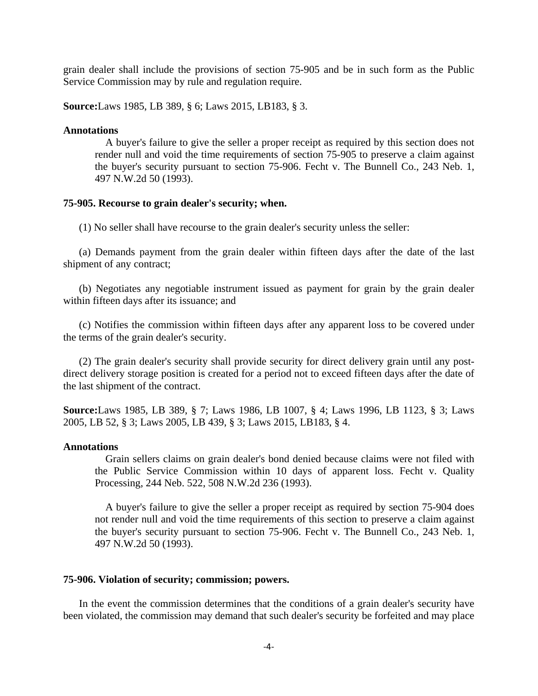grain dealer shall include the provisions of section 75-905 and be in such form as the Public Service Commission may by rule and regulation require.

**Source:**Laws 1985, LB 389, § 6; Laws 2015, LB183, § 3.

#### **Annotations**

A buyer's failure to give the seller a proper receipt as required by this section does not render null and void the time requirements of section 75-905 to preserve a claim against the buyer's security pursuant to section 75-906. Fecht v. The Bunnell Co., 243 Neb. 1, 497 N.W.2d 50 (1993).

#### **75-905. Recourse to grain dealer's security; when.**

(1) No seller shall have recourse to the grain dealer's security unless the seller:

(a) Demands payment from the grain dealer within fifteen days after the date of the last shipment of any contract;

(b) Negotiates any negotiable instrument issued as payment for grain by the grain dealer within fifteen days after its issuance; and

(c) Notifies the commission within fifteen days after any apparent loss to be covered under the terms of the grain dealer's security.

(2) The grain dealer's security shall provide security for direct delivery grain until any postdirect delivery storage position is created for a period not to exceed fifteen days after the date of the last shipment of the contract.

**Source:**Laws 1985, LB 389, § 7; Laws 1986, LB 1007, § 4; Laws 1996, LB 1123, § 3; Laws 2005, LB 52, § 3; Laws 2005, LB 439, § 3; Laws 2015, LB183, § 4.

### **Annotations**

Grain sellers claims on grain dealer's bond denied because claims were not filed with the Public Service Commission within 10 days of apparent loss. Fecht v. Quality Processing, 244 Neb. 522, 508 N.W.2d 236 (1993).

A buyer's failure to give the seller a proper receipt as required by section 75-904 does not render null and void the time requirements of this section to preserve a claim against the buyer's security pursuant to section 75-906. Fecht v. The Bunnell Co., 243 Neb. 1, 497 N.W.2d 50 (1993).

## **75-906. Violation of security; commission; powers.**

In the event the commission determines that the conditions of a grain dealer's security have been violated, the commission may demand that such dealer's security be forfeited and may place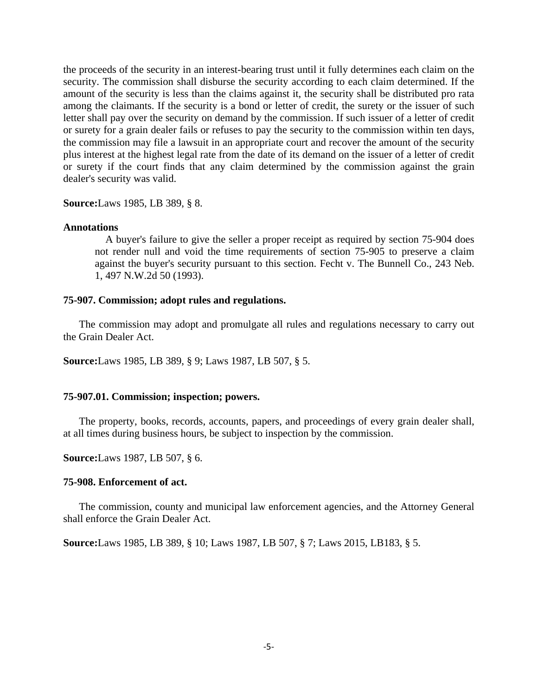the proceeds of the security in an interest-bearing trust until it fully determines each claim on the security. The commission shall disburse the security according to each claim determined. If the amount of the security is less than the claims against it, the security shall be distributed pro rata among the claimants. If the security is a bond or letter of credit, the surety or the issuer of such letter shall pay over the security on demand by the commission. If such issuer of a letter of credit or surety for a grain dealer fails or refuses to pay the security to the commission within ten days, the commission may file a lawsuit in an appropriate court and recover the amount of the security plus interest at the highest legal rate from the date of its demand on the issuer of a letter of credit or surety if the court finds that any claim determined by the commission against the grain dealer's security was valid.

**Source:**Laws 1985, LB 389, § 8.

#### **Annotations**

A buyer's failure to give the seller a proper receipt as required by section 75-904 does not render null and void the time requirements of section 75-905 to preserve a claim against the buyer's security pursuant to this section. Fecht v. The Bunnell Co., 243 Neb. 1, 497 N.W.2d 50 (1993).

### **75-907. Commission; adopt rules and regulations.**

The commission may adopt and promulgate all rules and regulations necessary to carry out the Grain Dealer Act.

**Source:**Laws 1985, LB 389, § 9; Laws 1987, LB 507, § 5.

## **75-907.01. Commission; inspection; powers.**

The property, books, records, accounts, papers, and proceedings of every grain dealer shall, at all times during business hours, be subject to inspection by the commission.

**Source:**Laws 1987, LB 507, § 6.

#### **75-908. Enforcement of act.**

The commission, county and municipal law enforcement agencies, and the Attorney General shall enforce the Grain Dealer Act.

**Source:**Laws 1985, LB 389, § 10; Laws 1987, LB 507, § 7; Laws 2015, LB183, § 5.